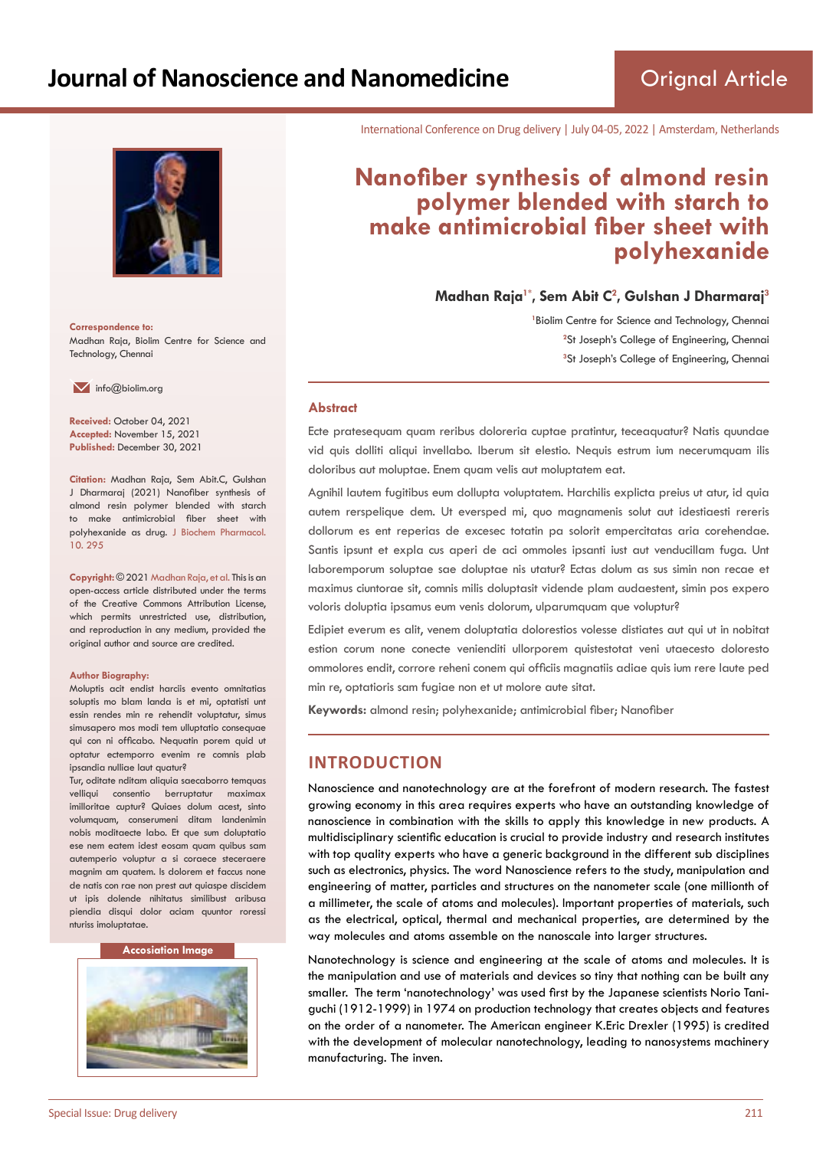

**Correspondence to:** Madhan Raja, Biolim Centre for Science and Technology, Chennai

 $\blacksquare$  info@biolim.org

**Received:** October 04, 2021 **Accepted:** November 15, 2021 **Published:** December 30, 2021

**Citation:** Madhan Raja, Sem Abit.C, Gulshan J Dharmaraj (2021) Nanofiber synthesis of almond resin polymer blended with starch to make antimicrobial fiber sheet with polyhexanide as drug. J Biochem Pharmacol. 10. 295

**Copyright:** © 2021 Madhan Raja, et al. This is an open-access article distributed under the terms of the Creative Commons Attribution License, which permits unrestricted use, distribution, and reproduction in any medium, provided the original author and source are credited.

#### **Author Biography:**

Moluptis acit endist harciis evento omnitatias soluptis mo blam landa is et mi, optatisti unt essin rendes min re rehendit voluptatur, simus simusapero mos modi tem ulluptatio consequae qui con ni officabo. Nequatin porem quid ut optatur ectemporro evenim re comnis plab ipsandia nulliae laut quatur?

Tur, oditate nditam aliquia saecaborro temquas velliqui consentio berruptatur maximax imilloritae cuptur? Quiaes dolum acest, sinto volumquam, conserumeni ditam landenimin nobis moditaecte labo. Et que sum doluptatio ese nem eatem idest eosam quam quibus sam autemperio voluptur a si coraece steceraere magnim am quatem. Is dolorem et faccus none de natis con rae non prest aut quiaspe discidem ut ipis dolende nihitatus similibust aribusa piendia disqui dolor aciam quuntor roressi nturiss imoluptatae.

#### **Accosiation Image**



International Conference on Drug delivery | July 04-05, 2022 | Amsterdam, Netherlands

# **Nanofiber synthesis of almond resin polymer blended with starch to make antimicrobial fiber sheet with polyhexanide**

**Madhan Raja1\*, Sem Abit C<sup>2</sup> , Gulshan J Dharmaraj<sup>3</sup>**

<sup>1</sup> Biolim Centre for Science and Technology, Chennai <sup>2</sup>St Joseph's College of Engineering, Chennai **3** St Joseph's College of Engineering, Chennai

#### **Abstract**

Ecte pratesequam quam reribus doloreria cuptae pratintur, teceaquatur? Natis quundae vid quis dolliti aliqui invellabo. Iberum sit elestio. Nequis estrum ium necerumquam ilis doloribus aut moluptae. Enem quam velis aut moluptatem eat.

Agnihil lautem fugitibus eum dollupta voluptatem. Harchilis explicta preius ut atur, id quia autem rerspelique dem. Ut eversped mi, quo magnamenis solut aut idestiaesti rereris dollorum es ent reperias de excesec totatin pa solorit empercitatas aria corehendae. Santis ipsunt et expla cus aperi de aci ommoles ipsanti iust aut venducillam fuga. Unt laboremporum soluptae sae doluptae nis utatur? Ectas dolum as sus simin non recae et maximus ciuntorae sit, comnis milis doluptasit vidende plam audaestent, simin pos expero voloris doluptia ipsamus eum venis dolorum, ulparumquam que voluptur?

Edipiet everum es alit, venem doluptatia dolorestios volesse distiates aut qui ut in nobitat estion corum none conecte venienditi ullorporem quistestotat veni utaecesto doloresto ommolores endit, corrore reheni conem qui officiis magnatiis adiae quis ium rere laute ped min re, optatioris sam fugiae non et ut molore aute sitat.

**Keywords:** almond resin; polyhexanide; antimicrobial fiber; Nanofiber

# **INTRODUCTION**

Nanoscience and nanotechnology are at the forefront of modern research. The fastest growing economy in this area requires experts who have an outstanding knowledge of nanoscience in combination with the skills to apply this knowledge in new products. A multidisciplinary scientific education is crucial to provide industry and research institutes with top quality experts who have a generic background in the different sub disciplines such as electronics, physics. The word Nanoscience refers to the study, manipulation and engineering of matter, particles and structures on the nanometer scale (one millionth of a millimeter, the scale of atoms and molecules). Important properties of materials, such as the electrical, optical, thermal and mechanical properties, are determined by the way molecules and atoms assemble on the nanoscale into larger structures.

Nanotechnology is science and engineering at the scale of atoms and molecules. It is the manipulation and use of materials and devices so tiny that nothing can be built any smaller. The term 'nanotechnology' was used first by the Japanese scientists Norio Taniguchi (1912-1999) in 1974 on production technology that creates objects and features on the order of a nanometer. The American engineer K.Eric Drexler (1995) is credited with the development of molecular nanotechnology, leading to nanosystems machinery manufacturing. The inven.